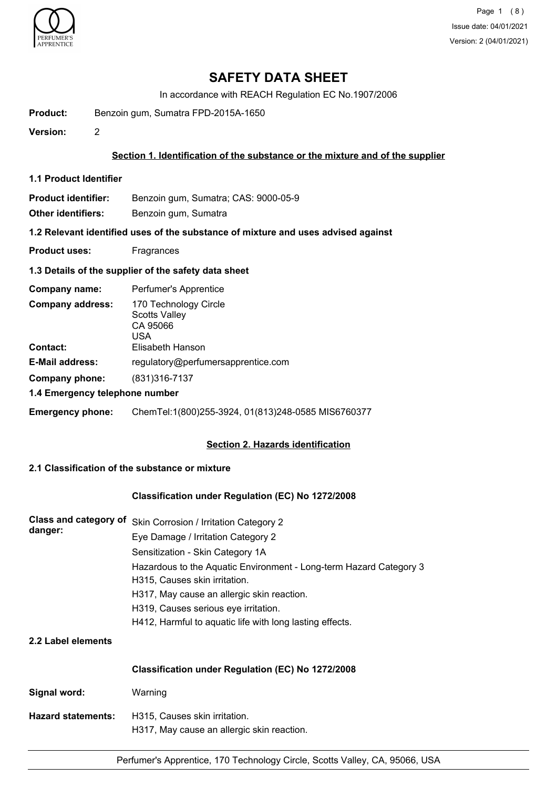

Page 1 (8) Issue date: 04/01/2021 Version: 2 (04/01/2021)

# **SAFETY DATA SHEET**

In accordance with REACH Regulation EC No.1907/2006

**Product:** Benzoin gum, Sumatra FPD-2015A-1650

**Version:** 2

#### **Section 1. Identification of the substance or the mixture and of the supplier**

**1.1 Product Identifier**

**Product identifier:** Benzoin gum, Sumatra; CAS: 9000-05-9

**Other identifiers:** Benzoin gum, Sumatra

**1.2 Relevant identified uses of the substance of mixture and uses advised against**

**Product uses:** Fragrances

## **1.3 Details of the supplier of the safety data sheet**

| Company name:                              | Perfumer's Apprentice                                                                |
|--------------------------------------------|--------------------------------------------------------------------------------------|
| <b>Company address:</b><br><b>Contact:</b> | 170 Technology Circle<br><b>Scotts Valley</b><br>CA 95066<br>USA<br>Elisabeth Hanson |
| <b>E-Mail address:</b>                     | regulatory@perfumersapprentice.com                                                   |
|                                            |                                                                                      |
| Company phone:                             | (831) 316 - 7137                                                                     |
| 1.4 Emergency telephone number             |                                                                                      |
| <b>Emergency phone:</b>                    | ChemTel:1(800)255-3924, 01(813)248-0585 MIS6760377                                   |

## **Section 2. Hazards identification**

## **2.1 Classification of the substance or mixture**

## **Classification under Regulation (EC) No 1272/2008**

| <b>Class and category of</b><br>danger: | Skin Corrosion / Irritation Category 2                                                              |  |  |  |
|-----------------------------------------|-----------------------------------------------------------------------------------------------------|--|--|--|
|                                         | Eye Damage / Irritation Category 2                                                                  |  |  |  |
|                                         | Sensitization - Skin Category 1A                                                                    |  |  |  |
|                                         | Hazardous to the Aquatic Environment - Long-term Hazard Category 3<br>H315, Causes skin irritation. |  |  |  |
|                                         | H317, May cause an allergic skin reaction.                                                          |  |  |  |
|                                         | H319, Causes serious eye irritation.                                                                |  |  |  |
|                                         | H412, Harmful to aquatic life with long lasting effects.                                            |  |  |  |
| 2.2 Label elements                      |                                                                                                     |  |  |  |
|                                         | Classification under Regulation (EC) No 1272/2008                                                   |  |  |  |
| Signal word:                            | Warning                                                                                             |  |  |  |
| <b>Hazard statements:</b>               | H315, Causes skin irritation.<br>H317, May cause an allergic skin reaction.                         |  |  |  |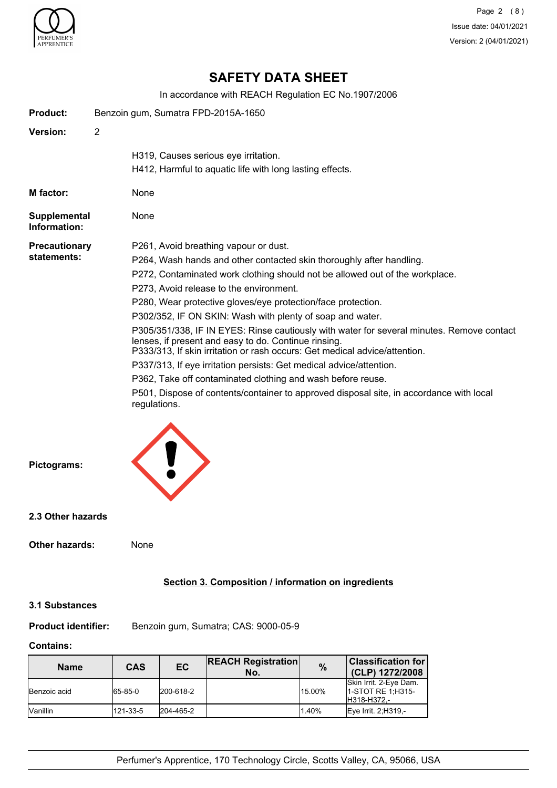

Page 2 (8) Issue date: 04/01/2021 Version: 2 (04/01/2021)

# **SAFETY DATA SHEET**

In accordance with REACH Regulation EC No.1907/2006

| <b>Product:</b>                     | Benzoin gum, Sumatra FPD-2015A-1650                                                                                                                                                                                                                                                                                                                                                                                                                                                                                                                                                                                                                                                                                                                                                                                                                       |
|-------------------------------------|-----------------------------------------------------------------------------------------------------------------------------------------------------------------------------------------------------------------------------------------------------------------------------------------------------------------------------------------------------------------------------------------------------------------------------------------------------------------------------------------------------------------------------------------------------------------------------------------------------------------------------------------------------------------------------------------------------------------------------------------------------------------------------------------------------------------------------------------------------------|
| Version:                            | $\overline{2}$                                                                                                                                                                                                                                                                                                                                                                                                                                                                                                                                                                                                                                                                                                                                                                                                                                            |
|                                     | H319, Causes serious eye irritation.<br>H412, Harmful to aquatic life with long lasting effects.                                                                                                                                                                                                                                                                                                                                                                                                                                                                                                                                                                                                                                                                                                                                                          |
| M factor:                           | None                                                                                                                                                                                                                                                                                                                                                                                                                                                                                                                                                                                                                                                                                                                                                                                                                                                      |
| Supplemental<br>Information:        | None                                                                                                                                                                                                                                                                                                                                                                                                                                                                                                                                                                                                                                                                                                                                                                                                                                                      |
| <b>Precautionary</b><br>statements: | P261, Avoid breathing vapour or dust.<br>P264, Wash hands and other contacted skin thoroughly after handling.<br>P272, Contaminated work clothing should not be allowed out of the workplace.<br>P273, Avoid release to the environment.<br>P280, Wear protective gloves/eye protection/face protection.<br>P302/352, IF ON SKIN: Wash with plenty of soap and water.<br>P305/351/338, IF IN EYES: Rinse cautiously with water for several minutes. Remove contact<br>lenses, if present and easy to do. Continue rinsing.<br>P333/313, If skin irritation or rash occurs: Get medical advice/attention.<br>P337/313, If eye irritation persists: Get medical advice/attention.<br>P362, Take off contaminated clothing and wash before reuse.<br>P501, Dispose of contents/container to approved disposal site, in accordance with local<br>regulations. |
| Pictograms:                         |                                                                                                                                                                                                                                                                                                                                                                                                                                                                                                                                                                                                                                                                                                                                                                                                                                                           |
| 2.3 Other hazards                   |                                                                                                                                                                                                                                                                                                                                                                                                                                                                                                                                                                                                                                                                                                                                                                                                                                                           |
| <b>Other hazards:</b>               | None                                                                                                                                                                                                                                                                                                                                                                                                                                                                                                                                                                                                                                                                                                                                                                                                                                                      |
|                                     | Section 3. Composition / information on ingredients                                                                                                                                                                                                                                                                                                                                                                                                                                                                                                                                                                                                                                                                                                                                                                                                       |
| <b>3.1 Substances</b>               |                                                                                                                                                                                                                                                                                                                                                                                                                                                                                                                                                                                                                                                                                                                                                                                                                                                           |
| <b>Product identifier:</b>          | Benzoin gum, Sumatra; CAS: 9000-05-9                                                                                                                                                                                                                                                                                                                                                                                                                                                                                                                                                                                                                                                                                                                                                                                                                      |

### **Contains:**

| <b>Name</b>         | CAS      | <b>EC</b> | <b>REACH Registration</b><br>No. | $\frac{9}{6}$ | <b>Classification for</b><br>(CLP) 1272/2008                |
|---------------------|----------|-----------|----------------------------------|---------------|-------------------------------------------------------------|
| <b>Benzoic</b> acid | 65-85-0  | 200-618-2 |                                  | 15.00%        | Skin Irrit. 2-Eye Dam.<br>11-STOT RE 1:H315-<br>H318-H372,- |
| <b>Nanillin</b>     | 121-33-5 | 204-465-2 |                                  | 1.40%         | Eye Irrit. 2; H319,-                                        |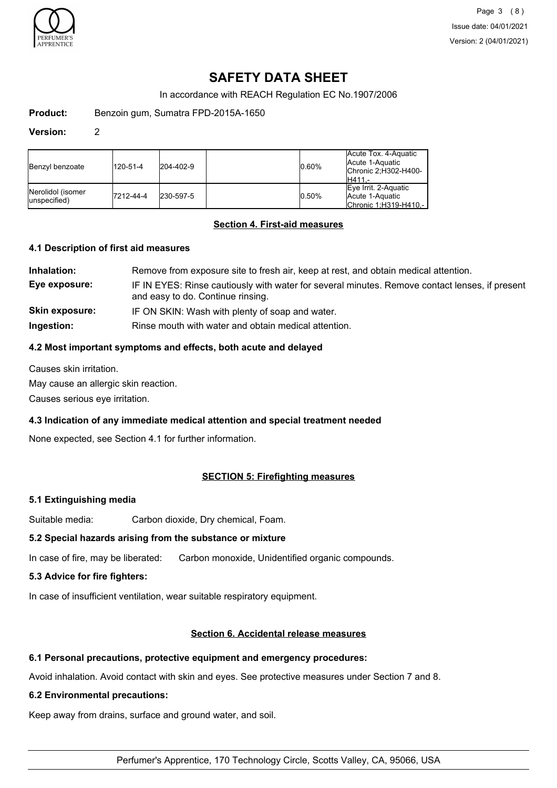

Page 3 (8) Issue date: 04/01/2021 Version: 2 (04/01/2021)

# **SAFETY DATA SHEET**

In accordance with REACH Regulation EC No.1907/2006

**Product:** Benzoin gum, Sumatra FPD-2015A-1650

#### **Version:** 2

| Benzyl benzoate                    | 120-51-4  | $ 204 - 402 - 9 $ | 0.60% | Acute Tox. 4-Aquatic<br>Acute 1-Aquatic<br>IChronic 2:H302-H400-<br>IH411.- |
|------------------------------------|-----------|-------------------|-------|-----------------------------------------------------------------------------|
| Nerolidol (isomer<br>lunspecified) | 7212-44-4 | 230-597-5         | 0.50% | Eye Irrit. 2-Aquatic<br>Acute 1-Aquatic<br>Chronic 1.H319-H410 -            |

## **Section 4. First-aid measures**

#### **4.1 Description of first aid measures**

| Inhalation:           | Remove from exposure site to fresh air, keep at rest, and obtain medical attention.                                                 |
|-----------------------|-------------------------------------------------------------------------------------------------------------------------------------|
| Eye exposure:         | IF IN EYES: Rinse cautiously with water for several minutes. Remove contact lenses, if present<br>and easy to do. Continue rinsing. |
| <b>Skin exposure:</b> | IF ON SKIN: Wash with plenty of soap and water.                                                                                     |
| Ingestion:            | Rinse mouth with water and obtain medical attention.                                                                                |

## **4.2 Most important symptoms and effects, both acute and delayed**

Causes skin irritation.

May cause an allergic skin reaction.

Causes serious eye irritation.

## **4.3 Indication of any immediate medical attention and special treatment needed**

None expected, see Section 4.1 for further information.

## **SECTION 5: Firefighting measures**

## **5.1 Extinguishing media**

Suitable media: Carbon dioxide, Dry chemical, Foam.

## **5.2 Special hazards arising from the substance or mixture**

In case of fire, may be liberated: Carbon monoxide, Unidentified organic compounds.

#### **5.3 Advice for fire fighters:**

In case of insufficient ventilation, wear suitable respiratory equipment.

## **Section 6. Accidental release measures**

#### **6.1 Personal precautions, protective equipment and emergency procedures:**

Avoid inhalation. Avoid contact with skin and eyes. See protective measures under Section 7 and 8.

#### **6.2 Environmental precautions:**

Keep away from drains, surface and ground water, and soil.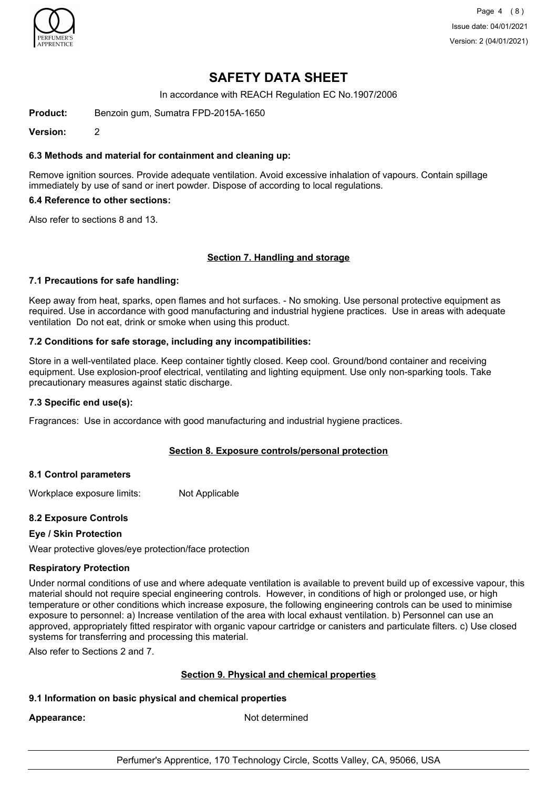

Page 4 (8) Issue date: 04/01/2021 Version: 2 (04/01/2021)

# **SAFETY DATA SHEET**

In accordance with REACH Regulation EC No.1907/2006

**Product:** Benzoin gum, Sumatra FPD-2015A-1650

**Version:** 2

## **6.3 Methods and material for containment and cleaning up:**

Remove ignition sources. Provide adequate ventilation. Avoid excessive inhalation of vapours. Contain spillage immediately by use of sand or inert powder. Dispose of according to local regulations.

### **6.4 Reference to other sections:**

Also refer to sections 8 and 13.

#### **Section 7. Handling and storage**

#### **7.1 Precautions for safe handling:**

Keep away from heat, sparks, open flames and hot surfaces. - No smoking. Use personal protective equipment as required. Use in accordance with good manufacturing and industrial hygiene practices. Use in areas with adequate ventilation Do not eat, drink or smoke when using this product.

#### **7.2 Conditions for safe storage, including any incompatibilities:**

Store in a well-ventilated place. Keep container tightly closed. Keep cool. Ground/bond container and receiving equipment. Use explosion-proof electrical, ventilating and lighting equipment. Use only non-sparking tools. Take precautionary measures against static discharge.

#### **7.3 Specific end use(s):**

Fragrances: Use in accordance with good manufacturing and industrial hygiene practices.

## **Section 8. Exposure controls/personal protection**

#### **8.1 Control parameters**

Workplace exposure limits: Not Applicable

## **8.2 Exposure Controls**

## **Eye / Skin Protection**

Wear protective gloves/eye protection/face protection

#### **Respiratory Protection**

Under normal conditions of use and where adequate ventilation is available to prevent build up of excessive vapour, this material should not require special engineering controls. However, in conditions of high or prolonged use, or high temperature or other conditions which increase exposure, the following engineering controls can be used to minimise exposure to personnel: a) Increase ventilation of the area with local exhaust ventilation. b) Personnel can use an approved, appropriately fitted respirator with organic vapour cartridge or canisters and particulate filters. c) Use closed systems for transferring and processing this material.

Also refer to Sections 2 and 7.

## **Section 9. Physical and chemical properties**

## **9.1 Information on basic physical and chemical properties**

Appearance: Not determined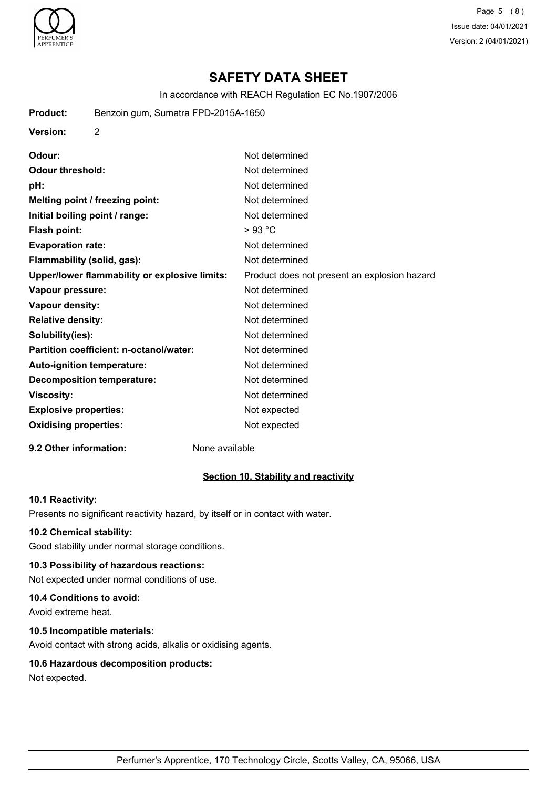

Page 5 (8) Issue date: 04/01/2021 Version: 2 (04/01/2021)

# **SAFETY DATA SHEET**

In accordance with REACH Regulation EC No.1907/2006

| <b>Product:</b>                | Benzoin gum, Sumatra FPD-2015A-1650           |                                              |
|--------------------------------|-----------------------------------------------|----------------------------------------------|
| <b>Version:</b>                | $\overline{2}$                                |                                              |
| Odour:                         |                                               | Not determined                               |
| <b>Odour threshold:</b>        |                                               | Not determined                               |
| pH:                            |                                               | Not determined                               |
|                                | Melting point / freezing point:               | Not determined                               |
| Initial boiling point / range: |                                               | Not determined                               |
| <b>Flash point:</b>            |                                               | $>93$ °C                                     |
| <b>Evaporation rate:</b>       |                                               | Not determined                               |
| Flammability (solid, gas):     |                                               | Not determined                               |
|                                | Upper/lower flammability or explosive limits: | Product does not present an explosion hazard |
| Vapour pressure:               |                                               | Not determined                               |
| Vapour density:                |                                               | Not determined                               |
| <b>Relative density:</b>       |                                               | Not determined                               |
| Solubility(ies):               |                                               | Not determined                               |
|                                | Partition coefficient: n-octanol/water:       | Not determined                               |
| Auto-ignition temperature:     |                                               | Not determined                               |
|                                | <b>Decomposition temperature:</b>             | Not determined                               |
| <b>Viscosity:</b>              |                                               | Not determined                               |
| <b>Explosive properties:</b>   |                                               | Not expected                                 |
| <b>Oxidising properties:</b>   |                                               | Not expected                                 |
|                                |                                               |                                              |

## **9.2 Other information:** None available

## **Section 10. Stability and reactivity**

## **10.1 Reactivity:**

Presents no significant reactivity hazard, by itself or in contact with water.

#### **10.2 Chemical stability:**

Good stability under normal storage conditions.

## **10.3 Possibility of hazardous reactions:**

Not expected under normal conditions of use.

#### **10.4 Conditions to avoid:**

Avoid extreme heat.

#### **10.5 Incompatible materials:**

Avoid contact with strong acids, alkalis or oxidising agents.

## **10.6 Hazardous decomposition products:**

Not expected.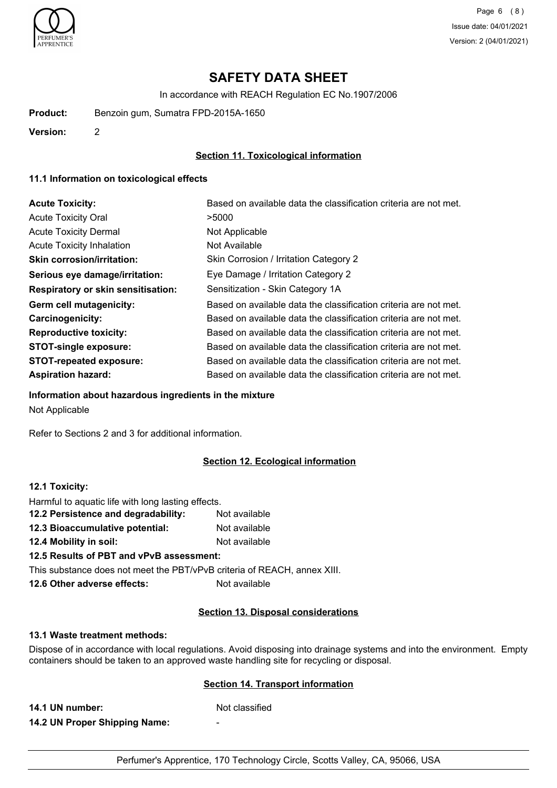

# **SAFETY DATA SHEET**

In accordance with REACH Regulation EC No.1907/2006

**Product:** Benzoin gum, Sumatra FPD-2015A-1650

**Version:** 2

## **Section 11. Toxicological information**

### **11.1 Information on toxicological effects**

| <b>Acute Toxicity:</b>                    | Based on available data the classification criteria are not met. |
|-------------------------------------------|------------------------------------------------------------------|
| <b>Acute Toxicity Oral</b>                | >5000                                                            |
| <b>Acute Toxicity Dermal</b>              | Not Applicable                                                   |
| <b>Acute Toxicity Inhalation</b>          | Not Available                                                    |
| <b>Skin corrosion/irritation:</b>         | Skin Corrosion / Irritation Category 2                           |
| Serious eye damage/irritation:            | Eye Damage / Irritation Category 2                               |
| <b>Respiratory or skin sensitisation:</b> | Sensitization - Skin Category 1A                                 |
| Germ cell mutagenicity:                   | Based on available data the classification criteria are not met. |
| <b>Carcinogenicity:</b>                   | Based on available data the classification criteria are not met. |
| <b>Reproductive toxicity:</b>             | Based on available data the classification criteria are not met. |
| <b>STOT-single exposure:</b>              | Based on available data the classification criteria are not met. |
| <b>STOT-repeated exposure:</b>            | Based on available data the classification criteria are not met. |
| <b>Aspiration hazard:</b>                 | Based on available data the classification criteria are not met. |

**Information about hazardous ingredients in the mixture**

Not Applicable

Refer to Sections 2 and 3 for additional information.

## **Section 12. Ecological information**

### **12.1 Toxicity:**

| This substance does not meet the PBT/vPvB criteria of REACH, annex XIII. |               |
|--------------------------------------------------------------------------|---------------|
| 12.5 Results of PBT and vPvB assessment:                                 |               |
| 12.4 Mobility in soil:                                                   | Not available |
| 12.3 Bioaccumulative potential:                                          | Not available |
| 12.2 Persistence and degradability:                                      | Not available |
| Harmful to aquatic life with long lasting effects.                       |               |

#### **Section 13. Disposal considerations**

#### **13.1 Waste treatment methods:**

Dispose of in accordance with local regulations. Avoid disposing into drainage systems and into the environment. Empty containers should be taken to an approved waste handling site for recycling or disposal.

## **Section 14. Transport information**

**14.1 UN number:** Not classified **14.2 UN Proper Shipping Name:** -

Perfumer's Apprentice, 170 Technology Circle, Scotts Valley, CA, 95066, USA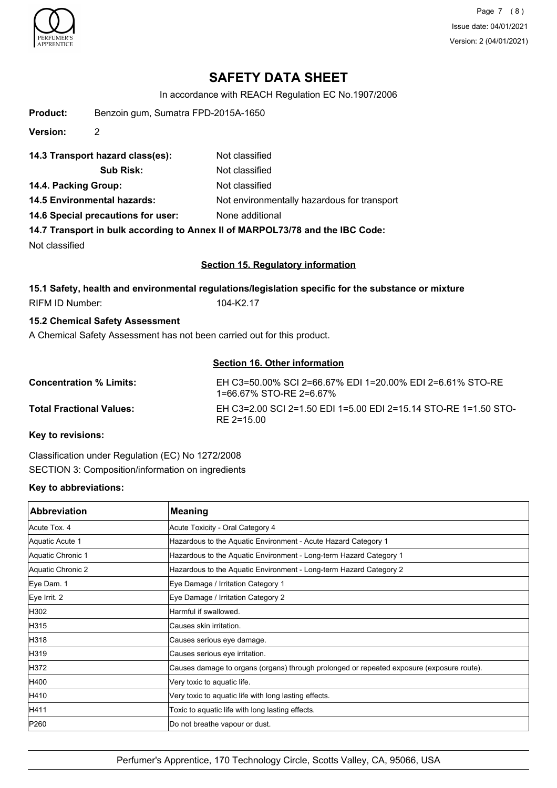

Page 7 (8) Issue date: 04/01/2021 Version: 2 (04/01/2021)

# **SAFETY DATA SHEET**

In accordance with REACH Regulation EC No.1907/2006

| <b>Product:</b>                                                         | Benzoin gum, Sumatra FPD-2015A-1650 |                                                                                                     |  |
|-------------------------------------------------------------------------|-------------------------------------|-----------------------------------------------------------------------------------------------------|--|
| <b>Version:</b>                                                         | 2                                   |                                                                                                     |  |
|                                                                         | 14.3 Transport hazard class(es):    | Not classified                                                                                      |  |
|                                                                         | <b>Sub Risk:</b>                    | Not classified                                                                                      |  |
| 14.4. Packing Group:                                                    |                                     | Not classified                                                                                      |  |
|                                                                         | <b>14.5 Environmental hazards:</b>  | Not environmentally hazardous for transport                                                         |  |
|                                                                         | 14.6 Special precautions for user:  | None additional                                                                                     |  |
|                                                                         |                                     | 14.7 Transport in bulk according to Annex II of MARPOL73/78 and the IBC Code:                       |  |
| Not classified                                                          |                                     |                                                                                                     |  |
| <b>Section 15. Regulatory information</b>                               |                                     |                                                                                                     |  |
|                                                                         |                                     | 15.1 Safety, health and environmental regulations/legislation specific for the substance or mixture |  |
| <b>RIFM ID Number:</b>                                                  |                                     | 104-K2.17                                                                                           |  |
| <b>15.2 Chemical Safety Assessment</b>                                  |                                     |                                                                                                     |  |
| A Chemical Safety Assessment has not been carried out for this product. |                                     |                                                                                                     |  |
|                                                                         |                                     | <b>Section 16. Other information</b>                                                                |  |
| <b>Concentration % Limits:</b>                                          |                                     | EH C3=50.00% SCI 2=66.67% EDI 1=20.00% EDI 2=6.61% STO-RE<br>1=66.67% STO-RE 2=6.67%                |  |

**Total Fractional Values:** EH C3=2.00 SCI 2=1.50 EDI 1=5.00 EDI 2=15.14 STO-RE 1=1.50 STO-RE 2=15.00

**Key to revisions:**

Classification under Regulation (EC) No 1272/2008 SECTION 3: Composition/information on ingredients

## **Key to abbreviations:**

| <b>Abbreviation</b> | <b>Meaning</b>                                                                            |
|---------------------|-------------------------------------------------------------------------------------------|
| Acute Tox, 4        | Acute Toxicity - Oral Category 4                                                          |
| Aquatic Acute 1     | Hazardous to the Aquatic Environment - Acute Hazard Category 1                            |
| Aquatic Chronic 1   | Hazardous to the Aquatic Environment - Long-term Hazard Category 1                        |
| Aquatic Chronic 2   | Hazardous to the Aquatic Environment - Long-term Hazard Category 2                        |
| Eye Dam. 1          | Eye Damage / Irritation Category 1                                                        |
| Eye Irrit. 2        | Eye Damage / Irritation Category 2                                                        |
| H302                | Harmful if swallowed.                                                                     |
| H315                | Causes skin irritation.                                                                   |
| H318                | Causes serious eye damage.                                                                |
| H319                | Causes serious eye irritation.                                                            |
| H372                | Causes damage to organs (organs) through prolonged or repeated exposure (exposure route). |
| H400                | Very toxic to aquatic life.                                                               |
| H410                | Very toxic to aquatic life with long lasting effects.                                     |
| H411                | Toxic to aquatic life with long lasting effects.                                          |
| P260                | Do not breathe vapour or dust.                                                            |